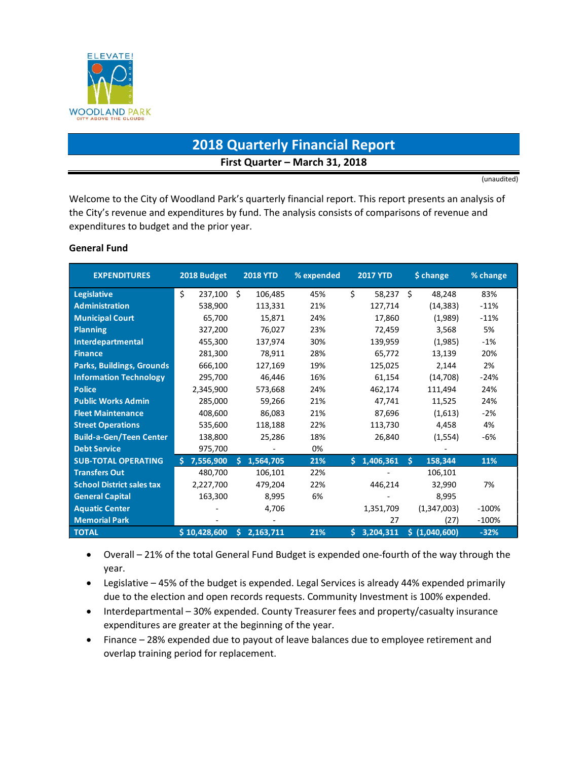

# **2018 Quarterly Financial Report First Quarter – March 31, 2018**

(unaudited)

Welcome to the City of Woodland Park's quarterly financial report. This report presents an analysis of the City's revenue and expenditures by fund. The analysis consists of comparisons of revenue and expenditures to budget and the prior year.

## **General Fund**

| <b>EXPENDITURES</b>              | 2018 Budget   | <b>2018 YTD</b> | % expended | <b>2017 YTD</b> | \$ change     | % change |
|----------------------------------|---------------|-----------------|------------|-----------------|---------------|----------|
| <b>Legislative</b>               | \$<br>237,100 | Ŝ.<br>106,485   | 45%        | \$<br>58,237    | Ŝ.<br>48,248  | 83%      |
| <b>Administration</b>            | 538,900       | 113,331         | 21%        | 127,714         | (14, 383)     | $-11%$   |
| <b>Municipal Court</b>           | 65,700        | 15,871          | 24%        | 17,860          | (1,989)       | $-11%$   |
| <b>Planning</b>                  | 327,200       | 76,027          | 23%        | 72,459          | 3,568         | 5%       |
| Interdepartmental                | 455.300       | 137,974         | 30%        | 139,959         | (1,985)       | $-1%$    |
| <b>Finance</b>                   | 281,300       | 78,911          | 28%        | 65.772          | 13,139        | 20%      |
| <b>Parks, Buildings, Grounds</b> | 666,100       | 127,169         | 19%        | 125,025         | 2,144         | 2%       |
| <b>Information Technology</b>    | 295,700       | 46,446          | 16%        | 61,154          | (14,708)      | $-24%$   |
| <b>Police</b>                    | 2,345,900     | 573,668         | 24%        | 462,174         | 111,494       | 24%      |
| <b>Public Works Admin</b>        | 285,000       | 59,266          | 21%        | 47,741          | 11,525        | 24%      |
| <b>Fleet Maintenance</b>         | 408,600       | 86,083          | 21%        | 87,696          | (1,613)       | $-2%$    |
| <b>Street Operations</b>         | 535,600       | 118,188         | 22%        | 113,730         | 4,458         | 4%       |
| <b>Build-a-Gen/Teen Center</b>   | 138,800       | 25.286          | 18%        | 26,840          | (1,554)       | -6%      |
| <b>Debt Service</b>              | 975,700       |                 | 0%         |                 |               |          |
| <b>SUB-TOTAL OPERATING</b>       | 7,556,900     | Š.<br>1,564,705 | 21%        | Ś.<br>1,406,361 | 158,344<br>Ś  | 11%      |
| <b>Transfers Out</b>             | 480,700       | 106,101         | 22%        |                 | 106,101       |          |
| <b>School District sales tax</b> | 2,227,700     | 479,204         | 22%        | 446,214         | 32,990        | 7%       |
| <b>General Capital</b>           | 163,300       | 8,995           | 6%         |                 | 8,995         |          |
| <b>Aquatic Center</b>            |               | 4,706           |            | 1,351,709       | (1,347,003)   | $-100%$  |
| <b>Memorial Park</b>             |               |                 |            | 27              | (27)          | $-100%$  |
| <b>TOTAL</b>                     | \$10,428,600  | 2,163,711<br>Ś. | 21%        | 3,204,311<br>Ś. | \$(1,040,600) | $-32%$   |

• Overall – 21% of the total General Fund Budget is expended one-fourth of the way through the year.

- Legislative 45% of the budget is expended. Legal Services is already 44% expended primarily due to the election and open records requests. Community Investment is 100% expended.
- Interdepartmental 30% expended. County Treasurer fees and property/casualty insurance expenditures are greater at the beginning of the year.
- Finance 28% expended due to payout of leave balances due to employee retirement and overlap training period for replacement.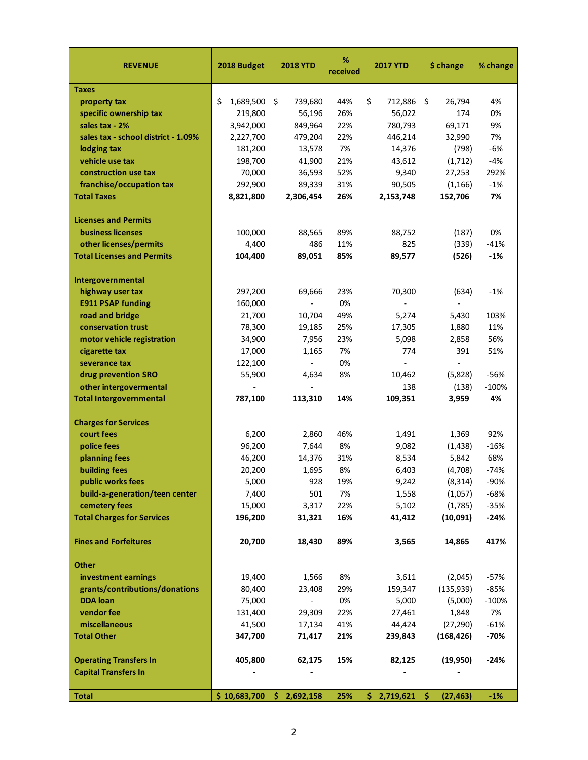| <b>REVENUE</b>                      | 2018 Budget     | <b>2018 YTD</b>          | %<br>received | <b>2017 YTD</b>  | \$ change                | % change |
|-------------------------------------|-----------------|--------------------------|---------------|------------------|--------------------------|----------|
| <b>Taxes</b>                        |                 |                          |               |                  |                          |          |
| property tax                        | \$<br>1,689,500 | 739,680<br>-\$           | 44%           | \$<br>712,886 \$ | 26,794                   | 4%       |
| specific ownership tax              | 219,800         | 56,196                   | 26%           | 56,022           | 174                      | 0%       |
| sales tax - 2%                      | 3,942,000       | 849,964                  | 22%           | 780,793          | 69,171                   | 9%       |
| sales tax - school district - 1.09% | 2,227,700       | 479,204                  | 22%           | 446,214          | 32,990                   | 7%       |
| lodging tax                         | 181,200         | 13,578                   | 7%            | 14,376           | (798)                    | $-6%$    |
| vehicle use tax                     | 198,700         | 41,900                   | 21%           | 43,612           | (1,712)                  | $-4%$    |
| construction use tax                | 70,000          | 36,593                   | 52%           | 9,340            | 27,253                   | 292%     |
| franchise/occupation tax            | 292,900         | 89,339                   | 31%           | 90,505           | (1, 166)                 | $-1%$    |
| <b>Total Taxes</b>                  | 8,821,800       | 2,306,454                | 26%           | 2,153,748        | 152,706                  | 7%       |
| <b>Licenses and Permits</b>         |                 |                          |               |                  |                          |          |
| <b>business licenses</b>            | 100,000         | 88,565                   | 89%           | 88,752           | (187)                    | 0%       |
| other licenses/permits              | 4,400           | 486                      | 11%           | 825              | (339)                    | $-41%$   |
| <b>Total Licenses and Permits</b>   | 104,400         | 89,051                   | 85%           | 89,577           | (526)                    | $-1%$    |
| Intergovernmental                   |                 |                          |               |                  |                          |          |
| highway user tax                    | 297,200         | 69,666                   | 23%           | 70,300           | (634)                    | -1%      |
| <b>E911 PSAP funding</b>            | 160,000         |                          | 0%            |                  |                          |          |
| road and bridge                     | 21,700          | 10,704                   | 49%           | 5,274            | 5,430                    | 103%     |
| conservation trust                  | 78,300          | 19,185                   | 25%           | 17,305           | 1,880                    | 11%      |
| motor vehicle registration          | 34,900          | 7,956                    | 23%           | 5,098            | 2,858                    | 56%      |
| cigarette tax                       | 17,000          | 1,165                    | 7%            | 774              | 391                      | 51%      |
| severance tax                       | 122,100         |                          | 0%            |                  | $\overline{\phantom{a}}$ |          |
| drug prevention SRO                 | 55,900          | 4,634                    | 8%            | 10,462           | (5,828)                  | -56%     |
| other intergovermental              |                 |                          |               | 138              | (138)                    | $-100%$  |
| <b>Total Intergovernmental</b>      | 787,100         | 113,310                  | 14%           | 109,351          | 3,959                    | 4%       |
| <b>Charges for Services</b>         |                 |                          |               |                  |                          |          |
| court fees                          | 6,200           | 2,860                    | 46%           | 1,491            | 1,369                    | 92%      |
| police fees                         | 96,200          | 7,644                    | 8%            | 9,082            | (1, 438)                 | $-16%$   |
| planning fees                       | 46,200          | 14,376                   | 31%           | 8,534            | 5,842                    | 68%      |
| <b>building fees</b>                | 20,200          | 1,695                    | 8%            | 6,403            | (4,708)                  | $-74%$   |
| public works fees                   | 5,000           | 928                      | 19%           | 9,242            | (8,314)                  | -90%     |
| build-a-generation/teen center      | 7,400           | 501                      | 7%            | 1,558            | (1,057)                  | $-68%$   |
| cemetery fees                       | 15,000          | 3,317                    | 22%           | 5,102            | (1,785)                  | $-35%$   |
| <b>Total Charges for Services</b>   | 196,200         | 31,321                   | 16%           | 41,412           | (10,091)                 | $-24%$   |
| <b>Fines and Forfeitures</b>        | 20,700          | 18,430                   | 89%           | 3,565            | 14,865                   | 417%     |
| Other                               |                 |                          |               |                  |                          |          |
| investment earnings                 | 19,400          | 1,566                    | 8%            | 3,611            | (2,045)                  | $-57%$   |
| grants/contributions/donations      | 80,400          | 23,408                   | 29%           | 159,347          | (135, 939)               | $-85%$   |
| <b>DDA</b> loan                     | 75,000          | $\overline{\phantom{a}}$ | 0%            | 5,000            | (5,000)                  | $-100%$  |
| vendor fee                          | 131,400         | 29,309                   | 22%           | 27,461           | 1,848                    | 7%       |
| miscellaneous                       | 41,500          | 17,134                   | 41%           | 44,424           | (27, 290)                | $-61%$   |
| <b>Total Other</b>                  | 347,700         | 71,417                   | 21%           | 239,843          | (168, 426)               | $-70%$   |
| <b>Operating Transfers In</b>       | 405,800         | 62,175                   | 15%           | 82,125           | (19, 950)                | $-24%$   |
| <b>Capital Transfers In</b>         |                 |                          |               |                  |                          |          |
| <b>Total</b>                        | \$10,683,700    | \$2,692,158              | 25%           | \$2,719,621      | -\$<br>(27, 463)         | $-1%$    |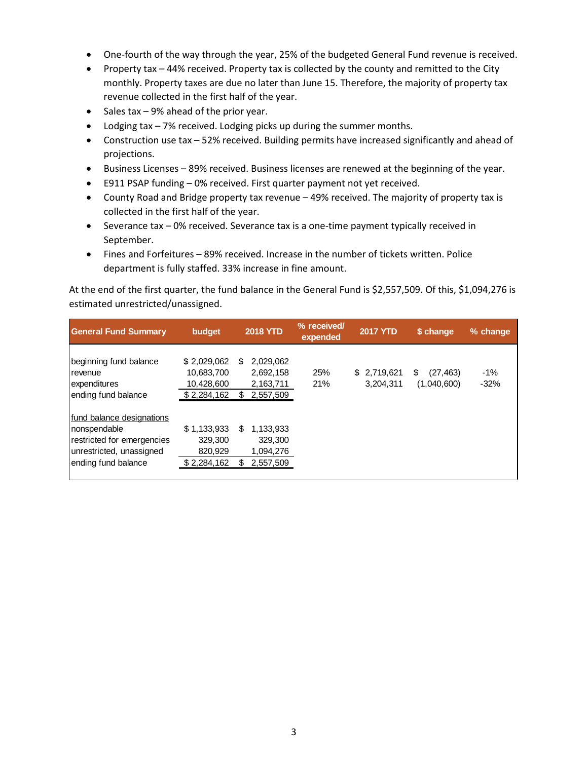- One-fourth of the way through the year, 25% of the budgeted General Fund revenue is received.
- Property tax 44% received. Property tax is collected by the county and remitted to the City monthly. Property taxes are due no later than June 15. Therefore, the majority of property tax revenue collected in the first half of the year.
- Sales tax 9% ahead of the prior year.
- Lodging tax 7% received. Lodging picks up during the summer months.
- Construction use tax 52% received. Building permits have increased significantly and ahead of projections.
- Business Licenses 89% received. Business licenses are renewed at the beginning of the year.
- E911 PSAP funding 0% received. First quarter payment not yet received.
- County Road and Bridge property tax revenue 49% received. The majority of property tax is collected in the first half of the year.
- Severance tax 0% received. Severance tax is a one-time payment typically received in September.
- Fines and Forfeitures 89% received. Increase in the number of tickets written. Police department is fully staffed. 33% increase in fine amount.

At the end of the first quarter, the fund balance in the General Fund is \$2,557,509. Of this, \$1,094,276 is estimated unrestricted/unassigned.

| <b>General Fund Summary</b>                                                                                                 | budget                                                 | <b>2018 YTD</b>                                       | % received/<br>expended | <b>2017 YTD</b>          | \$ change                      | % change        |
|-----------------------------------------------------------------------------------------------------------------------------|--------------------------------------------------------|-------------------------------------------------------|-------------------------|--------------------------|--------------------------------|-----------------|
| beginning fund balance<br>revenue<br>expenditures<br>ending fund balance                                                    | \$2,029,062<br>10,683,700<br>10,428,600<br>\$2,284,162 | 2,029,062<br>S<br>2,692,158<br>2,163,711<br>2,557,509 | 25%<br>21%              | \$2,719,621<br>3,204,311 | \$<br>(27, 463)<br>(1,040,600) | $-1%$<br>$-32%$ |
| fund balance designations<br>Inonspendable<br>restricted for emergencies<br>unrestricted, unassigned<br>ending fund balance | \$1,133,933<br>329,300<br>820,929<br>\$2,284,162       | 1,133,933<br>S<br>329,300<br>1,094,276<br>2,557,509   |                         |                          |                                |                 |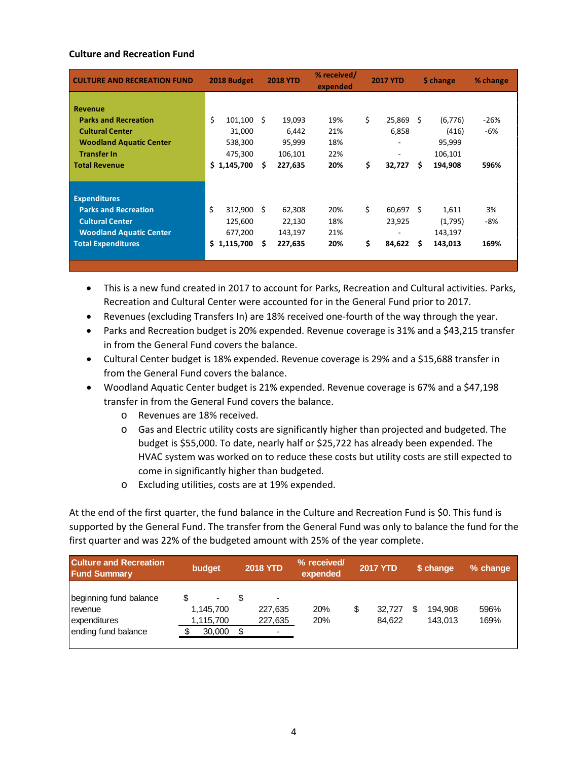### **Culture and Recreation Fund**

| <b>CULTURE AND RECREATION FUND</b>                                                                                                                      | 2018 Budget<br><b>2018 YTD</b>                                       |                                                      | % received/<br>expended         | <b>2017 YTD</b>                            | \$ change                                                     | % change              |
|---------------------------------------------------------------------------------------------------------------------------------------------------------|----------------------------------------------------------------------|------------------------------------------------------|---------------------------------|--------------------------------------------|---------------------------------------------------------------|-----------------------|
| <b>Revenue</b><br><b>Parks and Recreation</b><br><b>Cultural Center</b><br><b>Woodland Aquatic Center</b><br><b>Transfer In</b><br><b>Total Revenue</b> | \$<br>$101,100 \pm 5$<br>31,000<br>538,300<br>475,300<br>\$1,145,700 | 19,093<br>6,442<br>95,999<br>106,101<br>227,635<br>S | 19%<br>21%<br>18%<br>22%<br>20% | \$<br>25,869<br>6,858<br>-<br>\$<br>32,727 | Ŝ.<br>(6,776)<br>(416)<br>95,999<br>106,101<br>\$.<br>194.908 | $-26%$<br>-6%<br>596% |
|                                                                                                                                                         |                                                                      |                                                      |                                 |                                            |                                                               |                       |
| <b>Expenditures</b><br><b>Parks and Recreation</b><br><b>Cultural Center</b><br><b>Woodland Aquatic Center</b><br><b>Total Expenditures</b>             | \$<br>312,900<br>125,600<br>677,200<br>\$1,115,700                   | Ŝ.<br>62,308<br>22,130<br>143,197<br>Ŝ.<br>227,635   | 20%<br>18%<br>21%<br>20%        | \$<br>60,697<br>23,925<br>\$<br>84,622     | Ŝ.<br>1,611<br>(1,795)<br>143,197<br>S<br>143,013             | 3%<br>$-8%$<br>169%   |
|                                                                                                                                                         |                                                                      |                                                      |                                 |                                            |                                                               |                       |

• This is a new fund created in 2017 to account for Parks, Recreation and Cultural activities. Parks, Recreation and Cultural Center were accounted for in the General Fund prior to 2017.

- Revenues (excluding Transfers In) are 18% received one-fourth of the way through the year.
- Parks and Recreation budget is 20% expended. Revenue coverage is 31% and a \$43,215 transfer in from the General Fund covers the balance.
- Cultural Center budget is 18% expended. Revenue coverage is 29% and a \$15,688 transfer in from the General Fund covers the balance.
- Woodland Aquatic Center budget is 21% expended. Revenue coverage is 67% and a \$47,198 transfer in from the General Fund covers the balance.
	- o Revenues are 18% received.
	- o Gas and Electric utility costs are significantly higher than projected and budgeted. The budget is \$55,000. To date, nearly half or \$25,722 has already been expended. The HVAC system was worked on to reduce these costs but utility costs are still expected to come in significantly higher than budgeted.
	- o Excluding utilities, costs are at 19% expended.

At the end of the first quarter, the fund balance in the Culture and Recreation Fund is \$0. This fund is supported by the General Fund. The transfer from the General Fund was only to balance the fund for the first quarter and was 22% of the budgeted amount with 25% of the year complete.

| <b>Culture and Recreation</b><br><b>Fund Summary</b>                              | budget                                             | <b>2018 YTD</b>                                                  | % received/<br>expended | <b>2017 YTD</b> |                  |   | \$ change          | % change     |
|-----------------------------------------------------------------------------------|----------------------------------------------------|------------------------------------------------------------------|-------------------------|-----------------|------------------|---|--------------------|--------------|
| beginning fund balance<br><b>I</b> revenue<br>expenditures<br>ending fund balance | $\blacksquare$<br>1,145,700<br>1,115,700<br>30,000 | $\blacksquare$<br>227,635<br>227,635<br>$\overline{\phantom{0}}$ | 20%<br>20%              | \$              | 32.727<br>84.622 | S | 194.908<br>143.013 | 596%<br>169% |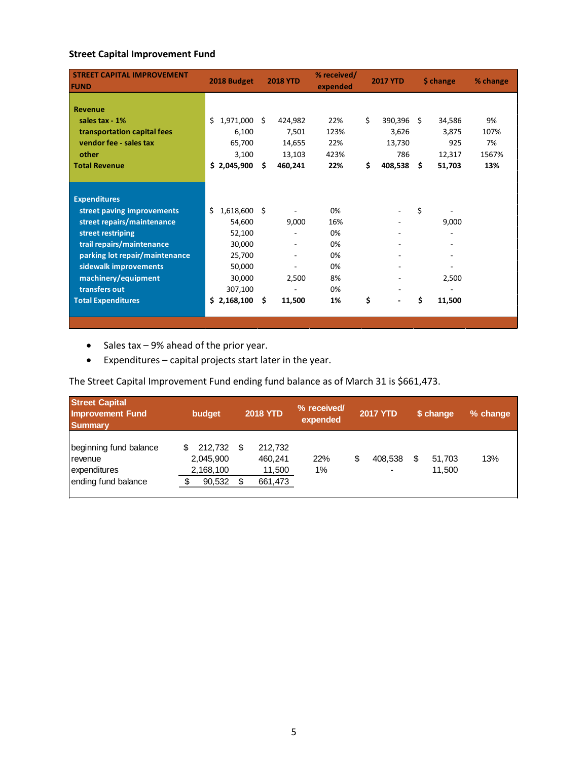# **Street Capital Improvement Fund**

| <b>STREET CAPITAL IMPROVEMENT</b><br><b>FUND</b> | 2018 Budget         |     | <b>2018 YTD</b> | % received/<br>expended |    | <b>2017 YTD</b> | \$ change    | % change |
|--------------------------------------------------|---------------------|-----|-----------------|-------------------------|----|-----------------|--------------|----------|
| Revenue                                          |                     |     |                 |                         |    |                 |              |          |
| sales tax - 1%                                   | Ś.<br>1,971,000     | Ŝ.  | 424,982         | 22%                     | Ś. | 390,396 \$      | 34,586       | 9%       |
| transportation capital fees                      | 6,100               |     | 7,501           | 123%                    |    | 3,626           | 3,875        | 107%     |
| vendor fee - sales tax                           | 65,700              |     | 14,655          | 22%                     |    | 13,730          | 925          | 7%       |
| other                                            | 3,100               |     | 13,103          | 423%                    |    | 786             | 12,317       | 1567%    |
| <b>Total Revenue</b>                             | \$2,045,900         | \$. | 460,241         | 22%                     | \$ | 408,538 \$      | 51,703       | 13%      |
|                                                  |                     |     |                 |                         |    |                 |              |          |
|                                                  |                     |     |                 |                         |    |                 |              |          |
| <b>Expenditures</b>                              |                     |     |                 |                         |    |                 |              |          |
| street paving improvements                       | Ś<br>$1,618,600$ \$ |     |                 | 0%                      |    |                 | \$           |          |
| street repairs/maintenance                       | 54,600              |     | 9,000           | 16%                     |    |                 | 9,000        |          |
| street restriping                                | 52,100              |     |                 | 0%                      |    |                 |              |          |
| trail repairs/maintenance                        | 30,000              |     |                 | 0%                      |    |                 |              |          |
| parking lot repair/maintenance                   | 25,700              |     |                 | 0%                      |    |                 |              |          |
| sidewalk improvements                            | 50,000              |     |                 | 0%                      |    |                 |              |          |
| machinery/equipment                              | 30,000              |     | 2,500           | 8%                      |    |                 | 2,500        |          |
| transfers out                                    | 307,100             |     |                 | 0%                      |    |                 |              |          |
| <b>Total Expenditures</b>                        | \$2,168,100         | Ŝ.  | 11,500          | 1%                      | \$ |                 | \$<br>11,500 |          |
|                                                  |                     |     |                 |                         |    |                 |              |          |
|                                                  |                     |     |                 |                         |    |                 |              |          |

- Sales tax 9% ahead of the prior year.
- Expenditures capital projects start later in the year.

The Street Capital Improvement Fund ending fund balance as of March 31 is \$661,473.

| <b>Street Capital</b><br><b>Improvement Fund</b><br><b>Summary</b>                | budget                                           | <b>2018 YTD</b>                                 | % received/<br>expended | <b>2017 YTD</b> | \$ change             | % change |
|-----------------------------------------------------------------------------------|--------------------------------------------------|-------------------------------------------------|-------------------------|-----------------|-----------------------|----------|
| beginning fund balance<br><b>I</b> revenue<br>expenditures<br>ending fund balance | 212.732<br>2,045,900<br>2,168,100<br>90,532<br>c | 212,732<br>- \$<br>460.241<br>11,500<br>661,473 | 22%<br>1%               | \$<br>408.538   | S<br>51.703<br>11,500 | 13%      |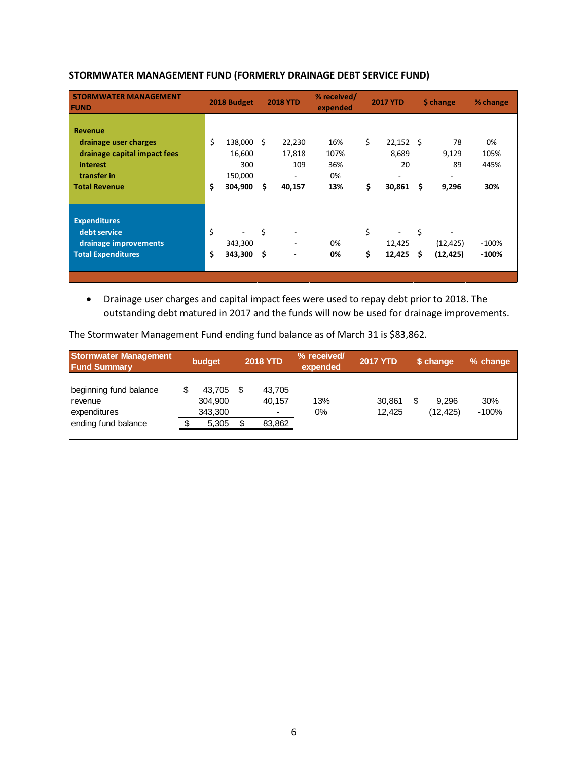| <b>STORMWATER MANAGEMENT</b><br><b>FUND</b>                                                                                |          | 2018 Budget                                    |           | <b>2018 YTD</b>                                               | % received/<br>expended         |          | <b>2017 YTD</b>                            |           | \$ change                                              | % change                  |
|----------------------------------------------------------------------------------------------------------------------------|----------|------------------------------------------------|-----------|---------------------------------------------------------------|---------------------------------|----------|--------------------------------------------|-----------|--------------------------------------------------------|---------------------------|
| <b>Revenue</b><br>drainage user charges<br>drainage capital impact fees<br>interest<br>transfer in<br><b>Total Revenue</b> | \$<br>\$ | 138,000<br>16,600<br>300<br>150,000<br>304,900 | Ŝ.<br>\$  | 22,230<br>17,818<br>109<br>$\overline{\phantom{a}}$<br>40,157 | 16%<br>107%<br>36%<br>0%<br>13% | \$<br>\$ | $22,152$ \$<br>8,689<br>20<br>۰.<br>30,861 | \$        | 78<br>9,129<br>89<br>$\overline{\phantom{a}}$<br>9,296 | 0%<br>105%<br>445%<br>30% |
| <b>Expenditures</b><br>debt service<br>drainage improvements<br><b>Total Expenditures</b>                                  | \$<br>\$ | 343,300<br>343,300                             | \$<br>-\$ | $\overline{\phantom{a}}$<br>$\blacksquare$                    | 0%<br>0%                        | \$<br>\$ | 12,425<br>12,425                           | \$<br>\$. | (12, 425)<br>(12, 425)                                 | $-100%$<br>$-100%$        |

# **STORMWATER MANAGEMENT FUND (FORMERLY DRAINAGE DEBT SERVICE FUND)**

• Drainage user charges and capital impact fees were used to repay debt prior to 2018. The outstanding debt matured in 2017 and the funds will now be used for drainage improvements.

The Stormwater Management Fund ending fund balance as of March 31 is \$83,862.

| <b>Stormwater Management</b><br><b>Fund Summary</b>                               | budget                                | <b>2018 YTD</b>                 | % received/<br>expended | <b>2017 YTD</b>  |    | \$ change         | % change       |
|-----------------------------------------------------------------------------------|---------------------------------------|---------------------------------|-------------------------|------------------|----|-------------------|----------------|
| beginning fund balance<br><b>I</b> revenue<br>expenditures<br>ending fund balance | 43.705<br>304,900<br>343,300<br>5,305 | 43.705<br>40,157<br>۰<br>83,862 | 13%<br>0%               | 30,861<br>12.425 | \$ | 9.296<br>(12.425) | 30%<br>$-100%$ |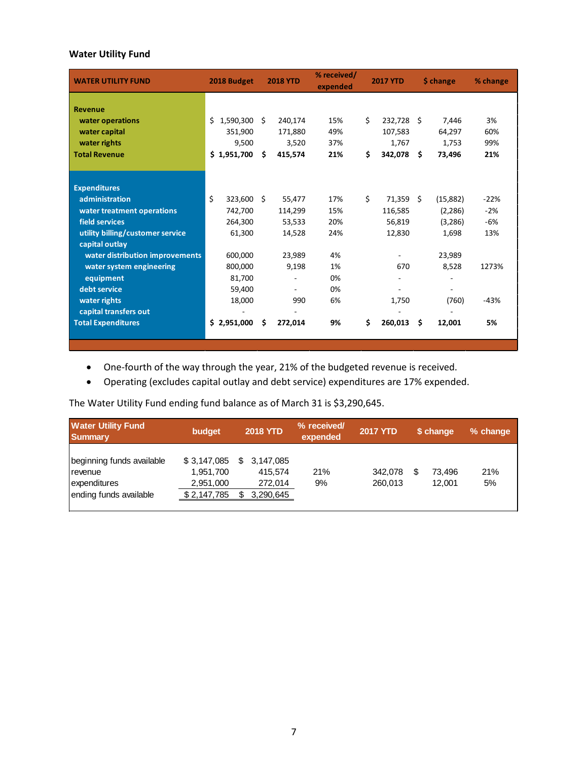# **Water Utility Fund**

| <b>WATER UTILITY FUND</b>        | 2018 Budget     |    | <b>2018 YTD</b> | % received/<br>expended |    | <b>2017 YTD</b> |     | \$ change | % change |
|----------------------------------|-----------------|----|-----------------|-------------------------|----|-----------------|-----|-----------|----------|
|                                  |                 |    |                 |                         |    |                 |     |           |          |
| <b>Revenue</b>                   |                 |    |                 |                         |    |                 |     |           |          |
| water operations                 | 1,590,300<br>Ś. | Ŝ. | 240,174         | 15%                     | Ś. | 232,728         | Ŝ.  | 7,446     | 3%       |
| water capital                    | 351,900         |    | 171,880         | 49%                     |    | 107,583         |     | 64,297    | 60%      |
| water rights                     | 9,500           |    | 3,520           | 37%                     |    | 1,767           |     | 1,753     | 99%      |
| <b>Total Revenue</b>             | \$1,951,700     | Ŝ. | 415,574         | 21%                     | \$ | 342,078         | Ŝ   | 73,496    | 21%      |
|                                  |                 |    |                 |                         |    |                 |     |           |          |
|                                  |                 |    |                 |                         |    |                 |     |           |          |
| <b>Expenditures</b>              |                 |    |                 |                         |    |                 |     |           |          |
| administration                   | Ś.<br>323,600   | Ŝ. | 55,477          | 17%                     | \$ | 71,359          | Ŝ.  | (15,882)  | $-22%$   |
| water treatment operations       | 742,700         |    | 114,299         | 15%                     |    | 116,585         |     | (2, 286)  | $-2%$    |
| field services                   | 264,300         |    | 53,533          | 20%                     |    | 56,819          |     | (3,286)   | $-6%$    |
| utility billing/customer service | 61,300          |    | 14,528          | 24%                     |    | 12,830          |     | 1,698     | 13%      |
| capital outlay                   |                 |    |                 |                         |    |                 |     |           |          |
| water distribution improvements  | 600,000         |    | 23,989          | 4%                      |    |                 |     | 23,989    |          |
| water system engineering         | 800,000         |    | 9,198           | 1%                      |    | 670             |     | 8,528     | 1273%    |
| equipment                        | 81,700          |    |                 | 0%                      |    |                 |     |           |          |
| debt service                     | 59,400          |    |                 | 0%                      |    |                 |     |           |          |
| water rights                     | 18,000          |    | 990             | 6%                      |    | 1,750           |     | (760)     | $-43%$   |
| capital transfers out            |                 |    |                 |                         |    |                 |     |           |          |
| <b>Total Expenditures</b>        | \$2,951,000     | \$ | 272,014         | 9%                      | \$ | 260,013         | \$. | 12,001    | 5%       |
|                                  |                 |    |                 |                         |    |                 |     |           |          |
|                                  |                 |    |                 |                         |    |                 |     |           |          |

• One-fourth of the way through the year, 21% of the budgeted revenue is received.

• Operating (excludes capital outlay and debt service) expenditures are 17% expended.

The Water Utility Fund ending fund balance as of March 31 is \$3,290,645.

| <b>Water Utility Fund</b><br><b>Summary</b>                                    | budget                                               | <b>2018 YTD</b>                              | % received/<br>expended | <b>2017 YTD</b>    | \$ change        | % change  |
|--------------------------------------------------------------------------------|------------------------------------------------------|----------------------------------------------|-------------------------|--------------------|------------------|-----------|
| beginning funds available<br>revenue<br>expenditures<br>ending funds available | \$3,147,085<br>1,951,700<br>2,951,000<br>\$2,147,785 | 3.147.085<br>415.574<br>272,014<br>3,290,645 | 21%<br>9%               | 342.078<br>260.013 | 73.496<br>12.001 | 21%<br>5% |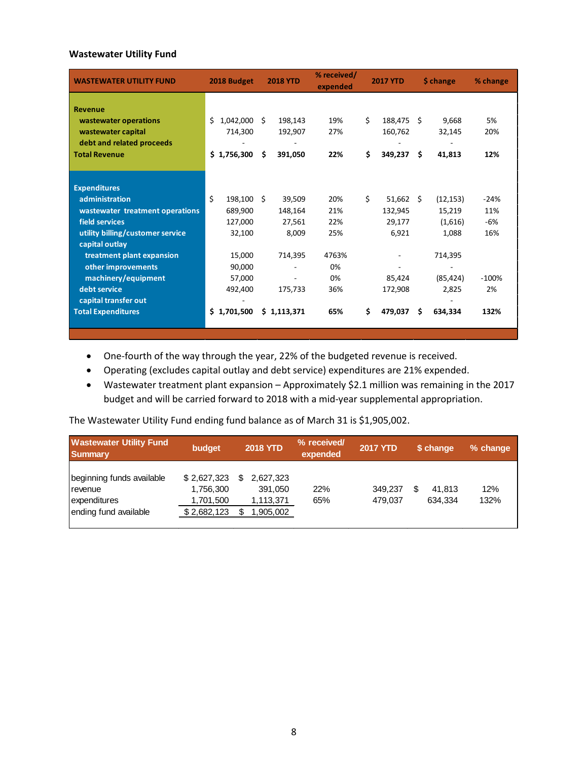### **Wastewater Utility Fund**

| <b>WASTEWATER UTILITY FUND</b>   | 2018 Budget    |     | <b>2018 YTD</b> | % received/<br>expended |    | <b>2017 YTD</b> |    | \$ change | % change |
|----------------------------------|----------------|-----|-----------------|-------------------------|----|-----------------|----|-----------|----------|
| <b>Revenue</b>                   |                |     |                 |                         |    |                 |    |           |          |
| wastewater operations            | Ś<br>1,042,000 | Ŝ.  | 198,143         | 19%                     | \$ | 188,475         | Ŝ. | 9,668     | 5%       |
| wastewater capital               | 714,300        |     | 192,907         | 27%                     |    | 160,762         |    | 32,145    | 20%      |
| debt and related proceeds        |                |     |                 |                         |    |                 |    |           |          |
| <b>Total Revenue</b>             | \$1,756,300    | \$  | 391,050         | 22%                     | Ś. | 349,237         | \$ | 41,813    | 12%      |
|                                  |                |     |                 |                         |    |                 |    |           |          |
|                                  |                |     |                 |                         |    |                 |    |           |          |
| <b>Expenditures</b>              |                |     |                 |                         |    |                 |    |           |          |
| administration                   | \$<br>198,100  | - Ś | 39,509          | 20%                     | \$ | $51,662$ \$     |    | (12, 153) | $-24%$   |
| wastewater treatment operations  | 689,900        |     | 148,164         | 21%                     |    | 132,945         |    | 15,219    | 11%      |
| field services                   | 127,000        |     | 27,561          | 22%                     |    | 29,177          |    | (1,616)   | -6%      |
| utility billing/customer service | 32,100         |     | 8,009           | 25%                     |    | 6,921           |    | 1,088     | 16%      |
| capital outlay                   |                |     |                 |                         |    |                 |    |           |          |
| treatment plant expansion        | 15,000         |     | 714,395         | 4763%                   |    |                 |    | 714,395   |          |
| other improvements               | 90,000         |     |                 | 0%                      |    |                 |    |           |          |
| machinery/equipment              | 57,000         |     |                 | 0%                      |    | 85,424          |    | (85, 424) | $-100%$  |
| debt service                     | 492,400        |     | 175,733         | 36%                     |    | 172,908         |    | 2,825     | 2%       |
| capital transfer out             |                |     |                 |                         |    |                 |    |           |          |
| <b>Total Expenditures</b>        | \$1,701,500    |     | \$1,113,371     | 65%                     | Ś. | 479,037         | Ŝ. | 634.334   | 132%     |
|                                  |                |     |                 |                         |    |                 |    |           |          |

- One-fourth of the way through the year, 22% of the budgeted revenue is received.
- Operating (excludes capital outlay and debt service) expenditures are 21% expended.
- Wastewater treatment plant expansion Approximately \$2.1 million was remaining in the 2017 budget and will be carried forward to 2018 with a mid-year supplemental appropriation.

The Wastewater Utility Fund ending fund balance as of March 31 is \$1,905,002.

| <b>Wastewater Utility Fund</b><br><b>Summary</b>                                       | budget                                               | <b>2018 YTD</b>                                | % received/<br>expended | <b>2017 YTD</b>    | \$ change         | % change    |
|----------------------------------------------------------------------------------------|------------------------------------------------------|------------------------------------------------|-------------------------|--------------------|-------------------|-------------|
| beginning funds available<br><b>I</b> revenue<br>expenditures<br>ending fund available | \$2,627,323<br>1,756,300<br>1,701,500<br>\$2,682,123 | 2.627.323<br>391.050<br>1,113,371<br>1,905,002 | 22%<br>65%              | 349.237<br>479.037 | 41.813<br>634.334 | 12%<br>132% |